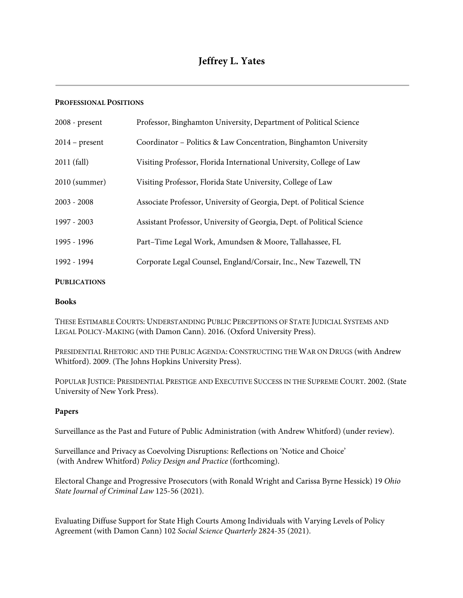### **PROFESSIONAL POSITIONS**

| $2008$ - present | Professor, Binghamton University, Department of Political Science      |
|------------------|------------------------------------------------------------------------|
| $2014$ – present | Coordinator - Politics & Law Concentration, Binghamton University      |
| 2011 (fall)      | Visiting Professor, Florida International University, College of Law   |
| 2010 (summer)    | Visiting Professor, Florida State University, College of Law           |
| $2003 - 2008$    | Associate Professor, University of Georgia, Dept. of Political Science |
| 1997 - 2003      | Assistant Professor, University of Georgia, Dept. of Political Science |
| 1995 - 1996      | Part-Time Legal Work, Amundsen & Moore, Tallahassee, FL                |
| 1992 - 1994      | Corporate Legal Counsel, England/Corsair, Inc., New Tazewell, TN       |
|                  |                                                                        |

### **PUBLICATIONS**

#### **Books**

THESE ESTIMABLE COURTS: UNDERSTANDING PUBLIC PERCEPTIONS OF STATE JUDICIAL SYSTEMS AND LEGAL POLICY-MAKING (with Damon Cann). 2016. (Oxford University Press).

PRESIDENTIAL RHETORIC AND THE PUBLIC AGENDA: CONSTRUCTING THE WAR ON DRUGS (with Andrew Whitford). 2009. (The Johns Hopkins University Press).

POPULAR JUSTICE: PRESIDENTIAL PRESTIGE AND EXECUTIVE SUCCESS IN THE SUPREME COURT. 2002. (State University of New York Press).

## **Papers**

Surveillance as the Past and Future of Public Administration (with Andrew Whitford) (under review).

Surveillance and Privacy as Coevolving Disruptions: Reflections on 'Notice and Choice' (with Andrew Whitford) *Policy Design and Practice* (forthcoming).

Electoral Change and Progressive Prosecutors (with Ronald Wright and Carissa Byrne Hessick) 19 *Ohio State Journal of Criminal Law* 125-56 (2021).

Evaluating Diffuse Support for State High Courts Among Individuals with Varying Levels of Policy Agreement (with Damon Cann) 102 *Social Science Quarterly* 2824-35 (2021).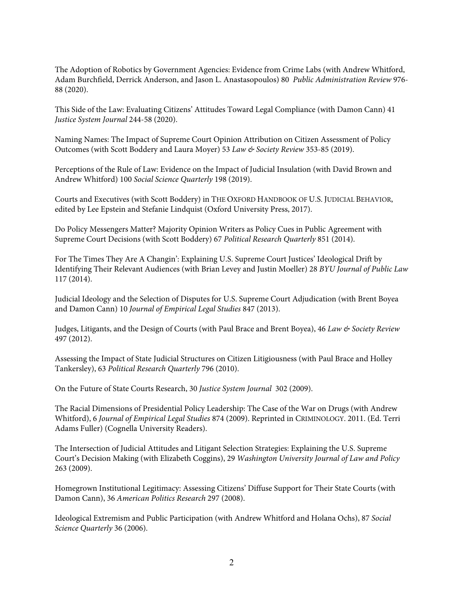The Adoption of Robotics by Government Agencies: Evidence from Crime Labs (with Andrew Whitford, Adam Burchfield, Derrick Anderson, and Jason L. Anastasopoulos) 80 *Public Administration Review* 976- 88 (2020).

This Side of the Law: Evaluating Citizens' Attitudes Toward Legal Compliance (with Damon Cann) 41 *Justice System Journal* 244-58 (2020).

Naming Names: The Impact of Supreme Court Opinion Attribution on Citizen Assessment of Policy Outcomes (with Scott Boddery and Laura Moyer) 53 *Law & Society Review* 353-85 (2019).

Perceptions of the Rule of Law: Evidence on the Impact of Judicial Insulation (with David Brown and Andrew Whitford) 100 *Social Science Quarterly* 198 (2019).

Courts and Executives (with Scott Boddery) in THE OXFORD HANDBOOK OF U.S. JUDICIAL BEHAVIOR, edited by Lee Epstein and Stefanie Lindquist (Oxford University Press, 2017).

Do Policy Messengers Matter? Majority Opinion Writers as Policy Cues in Public Agreement with Supreme Court Decisions (with Scott Boddery) 67 *Political Research Quarterly* 851 (2014).

For The Times They Are A Changin': Explaining U.S. Supreme Court Justices' Ideological Drift by Identifying Their Relevant Audiences (with Brian Levey and Justin Moeller) 28 *BYU Journal of Public Law* 117 (2014).

Judicial Ideology and the Selection of Disputes for U.S. Supreme Court Adjudication (with Brent Boyea and Damon Cann) 10 *Journal of Empirical Legal Studies* 847 (2013).

Judges, Litigants, and the Design of Courts (with Paul Brace and Brent Boyea), 46 *Law & Society Review* 497 (2012).

Assessing the Impact of State Judicial Structures on Citizen Litigiousness (with Paul Brace and Holley Tankersley), 63 *Political Research Quarterly* 796 (2010).

On the Future of State Courts Research, 30 *Justice System Journal* 302 (2009).

The Racial Dimensions of Presidential Policy Leadership: The Case of the War on Drugs (with Andrew Whitford), 6 *Journal of Empirical Legal Studies* 874 (2009). Reprinted in CRIMINOLOGY. 2011. (Ed. Terri Adams Fuller) (Cognella University Readers).

The Intersection of Judicial Attitudes and Litigant Selection Strategies: Explaining the U.S. Supreme Court's Decision Making (with Elizabeth Coggins), 29 *Washington University Journal of Law and Policy* 263 (2009).

Homegrown Institutional Legitimacy: Assessing Citizens' Diffuse Support for Their State Courts (with Damon Cann), 36 *American Politics Research* 297 (2008).

Ideological Extremism and Public Participation (with Andrew Whitford and Holana Ochs), 87 *Social Science Quarterly* 36 (2006).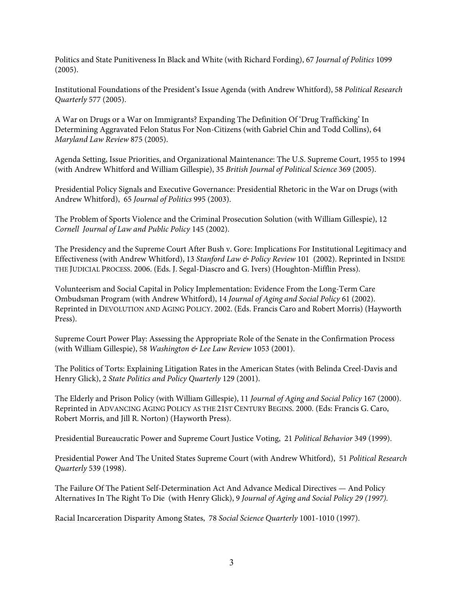Politics and State Punitiveness In Black and White (with Richard Fording), 67 *Journal of Politics* 1099 (2005).

Institutional Foundations of the President's Issue Agenda (with Andrew Whitford), 58 *Political Research Quarterly* 577 (2005).

A War on Drugs or a War on Immigrants? Expanding The Definition Of 'Drug Trafficking' In Determining Aggravated Felon Status For Non-Citizens (with Gabriel Chin and Todd Collins), 64 *Maryland Law Review* 875 (2005).

Agenda Setting, Issue Priorities, and Organizational Maintenance: The U.S. Supreme Court, 1955 to 1994 (with Andrew Whitford and William Gillespie), 35 *British Journal of Political Science* 369 (2005).

Presidential Policy Signals and Executive Governance: Presidential Rhetoric in the War on Drugs (with Andrew Whitford), 65 *Journal of Politics* 995 (2003).

The Problem of Sports Violence and the Criminal Prosecution Solution (with William Gillespie), 12 *Cornell Journal of Law and Public Policy* 145 (2002).

The Presidency and the Supreme Court After Bush v. Gore: Implications For Institutional Legitimacy and Effectiveness (with Andrew Whitford), 13 *Stanford Law & Policy Review* 101 (2002). Reprinted in INSIDE THE JUDICIAL PROCESS. 2006. (Eds. J. Segal-Diascro and G. Ivers) (Houghton-Mifflin Press).

Volunteerism and Social Capital in Policy Implementation: Evidence From the Long-Term Care Ombudsman Program (with Andrew Whitford), 14 *Journal of Aging and Social Policy* 61 (2002). Reprinted in DEVOLUTION AND AGING POLICY. 2002. (Eds. Francis Caro and Robert Morris) (Hayworth Press).

Supreme Court Power Play: Assessing the Appropriate Role of the Senate in the Confirmation Process (with William Gillespie), 58 *Washington & Lee Law Review* 1053 (2001).

The Politics of Torts: Explaining Litigation Rates in the American States (with Belinda Creel-Davis and Henry Glick), 2 *State Politics and Policy Quarterly* 129 (2001).

The Elderly and Prison Policy (with William Gillespie), 11 *Journal of Aging and Social Policy* 167 (2000). Reprinted in ADVANCING AGING POLICY AS THE 21ST CENTURY BEGINS. 2000. (Eds: Francis G. Caro, Robert Morris, and Jill R. Norton) (Hayworth Press).

Presidential Bureaucratic Power and Supreme Court Justice Voting, 21 *Political Behavior* 349 (1999).

Presidential Power And The United States Supreme Court (with Andrew Whitford), 51 *Political Research Quarterly* 539 (1998).

The Failure Of The Patient Self-Determination Act And Advance Medical Directives — And Policy Alternatives In The Right To Die (with Henry Glick), 9 *Journal of Aging and Social Policy 29 (1997).*

Racial Incarceration Disparity Among States, 78 *Social Science Quarterly* 1001-1010 (1997).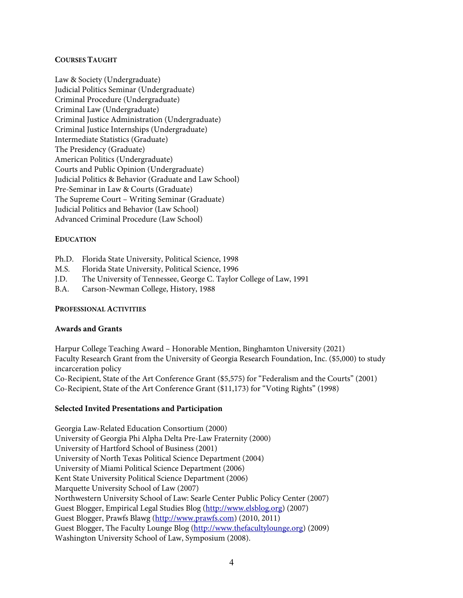# **COURSES TAUGHT**

Law & Society (Undergraduate) Judicial Politics Seminar (Undergraduate) Criminal Procedure (Undergraduate) Criminal Law (Undergraduate) Criminal Justice Administration (Undergraduate) Criminal Justice Internships (Undergraduate) Intermediate Statistics (Graduate) The Presidency (Graduate) American Politics (Undergraduate) Courts and Public Opinion (Undergraduate) Judicial Politics & Behavior (Graduate and Law School) Pre-Seminar in Law & Courts (Graduate) The Supreme Court – Writing Seminar (Graduate) Judicial Politics and Behavior (Law School) Advanced Criminal Procedure (Law School)

# **EDUCATION**

- Ph.D. Florida State University, Political Science, 1998
- M.S. Florida State University, Political Science, 1996
- J.D. The University of Tennessee, George C. Taylor College of Law, 1991
- B.A. Carson-Newman College, History, 1988

## **PROFESSIONAL ACTIVITIES**

## **Awards and Grants**

Harpur College Teaching Award – Honorable Mention, Binghamton University (2021) Faculty Research Grant from the University of Georgia Research Foundation, Inc. (\$5,000) to study incarceration policy Co-Recipient, State of the Art Conference Grant (\$5,575) for "Federalism and the Courts" (2001) Co-Recipient, State of the Art Conference Grant (\$11,173) for "Voting Rights" (1998)

## **Selected Invited Presentations and Participation**

Georgia Law-Related Education Consortium (2000) University of Georgia Phi Alpha Delta Pre-Law Fraternity (2000) University of Hartford School of Business (2001) University of North Texas Political Science Department (2004) University of Miami Political Science Department (2006) Kent State University Political Science Department (2006) Marquette University School of Law (2007) Northwestern University School of Law: Searle Center Public Policy Center (2007) Guest Blogger, Empirical Legal Studies Blog (http://www.elsblog.org) (2007) Guest Blogger, Prawfs Blawg (http://www.prawfs.com) (2010, 2011) Guest Blogger, The Faculty Lounge Blog (http://www.thefacultylounge.org) (2009) Washington University School of Law, Symposium (2008).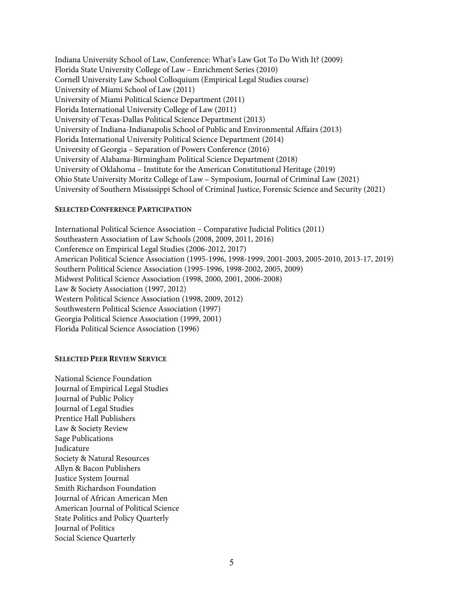Indiana University School of Law, Conference: What's Law Got To Do With It? (2009) Florida State University College of Law – Enrichment Series (2010) Cornell University Law School Colloquium (Empirical Legal Studies course) University of Miami School of Law (2011) University of Miami Political Science Department (2011) Florida International University College of Law (2011) University of Texas-Dallas Political Science Department (2013) University of Indiana-Indianapolis School of Public and Environmental Affairs (2013) Florida International University Political Science Department (2014) University of Georgia – Separation of Powers Conference (2016) University of Alabama-Birmingham Political Science Department (2018) University of Oklahoma – Institute for the American Constitutional Heritage (2019) Ohio State University Moritz College of Law – Symposium, Journal of Criminal Law (2021) University of Southern Mississippi School of Criminal Justice, Forensic Science and Security (2021)

#### **SELECTED CONFERENCE PARTICIPATION**

International Political Science Association – Comparative Judicial Politics (2011) Southeastern Association of Law Schools (2008, 2009, 2011, 2016) Conference on Empirical Legal Studies (2006-2012, 2017) American Political Science Association (1995-1996, 1998-1999, 2001-2003, 2005-2010, 2013-17, 2019) Southern Political Science Association (1995-1996, 1998-2002, 2005, 2009) Midwest Political Science Association (1998, 2000, 2001, 2006-2008) Law & Society Association (1997, 2012) Western Political Science Association (1998, 2009, 2012) Southwestern Political Science Association (1997) Georgia Political Science Association (1999, 2001) Florida Political Science Association (1996)

#### **SELECTED PEER REVIEW SERVICE**

National Science Foundation Journal of Empirical Legal Studies Journal of Public Policy Journal of Legal Studies Prentice Hall Publishers Law & Society Review Sage Publications Judicature Society & Natural Resources Allyn & Bacon Publishers Justice System Journal Smith Richardson Foundation Journal of African American Men American Journal of Political Science State Politics and Policy Quarterly Journal of Politics Social Science Quarterly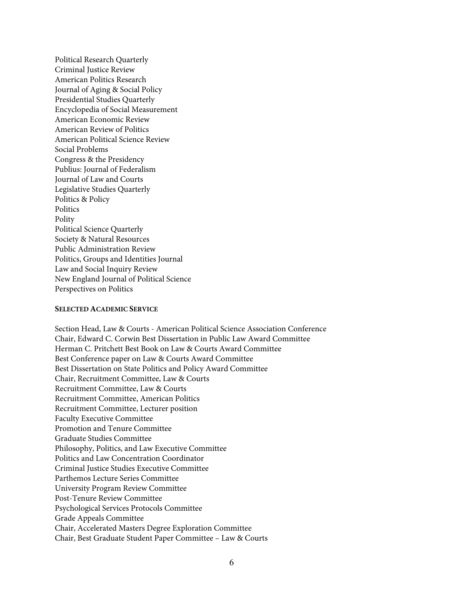Political Research Quarterly Criminal Justice Review American Politics Research Journal of Aging & Social Policy Presidential Studies Quarterly Encyclopedia of Social Measurement American Economic Review American Review of Politics American Political Science Review Social Problems Congress & the Presidency Publius: Journal of Federalism Journal of Law and Courts Legislative Studies Quarterly Politics & Policy Politics Polity Political Science Quarterly Society & Natural Resources Public Administration Review Politics, Groups and Identities Journal Law and Social Inquiry Review New England Journal of Political Science Perspectives on Politics

#### **SELECTED ACADEMIC SERVICE**

Section Head, Law & Courts - American Political Science Association Conference Chair, Edward C. Corwin Best Dissertation in Public Law Award Committee Herman C. Pritchett Best Book on Law & Courts Award Committee Best Conference paper on Law & Courts Award Committee Best Dissertation on State Politics and Policy Award Committee Chair, Recruitment Committee, Law & Courts Recruitment Committee, Law & Courts Recruitment Committee, American Politics Recruitment Committee, Lecturer position Faculty Executive Committee Promotion and Tenure Committee Graduate Studies Committee Philosophy, Politics, and Law Executive Committee Politics and Law Concentration Coordinator Criminal Justice Studies Executive Committee Parthemos Lecture Series Committee University Program Review Committee Post-Tenure Review Committee Psychological Services Protocols Committee Grade Appeals Committee Chair, Accelerated Masters Degree Exploration Committee Chair, Best Graduate Student Paper Committee – Law & Courts